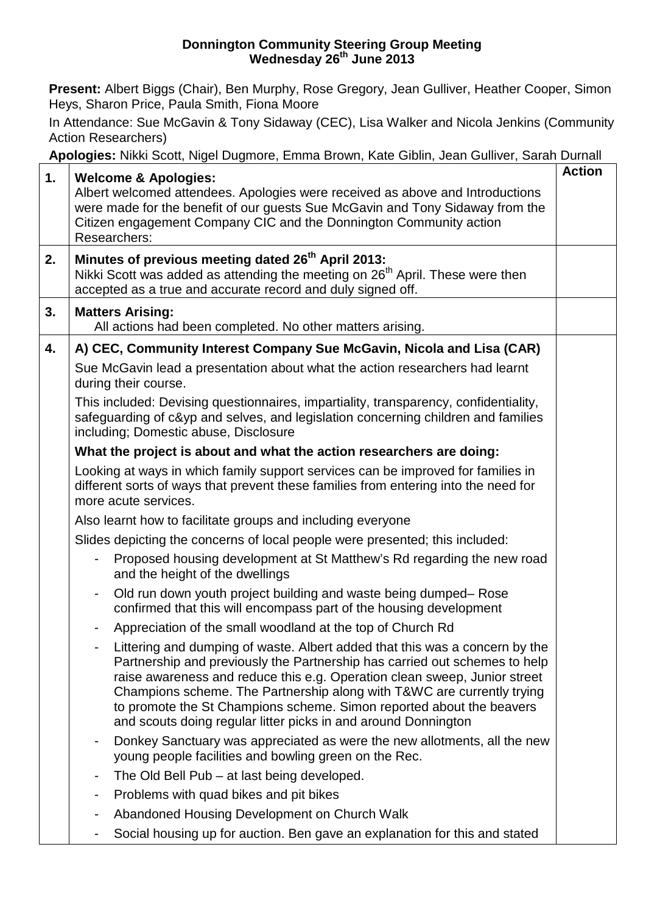#### **Donnington Community Steering Group Meeting Wednesday 26th June 2013**

**Present:** Albert Biggs (Chair), Ben Murphy, Rose Gregory, Jean Gulliver, Heather Cooper, Simon Heys, Sharon Price, Paula Smith, Fiona Moore

In Attendance: Sue McGavin & Tony Sidaway (CEC), Lisa Walker and Nicola Jenkins (Community Action Researchers)

**Apologies:** Nikki Scott, Nigel Dugmore, Emma Brown, Kate Giblin, Jean Gulliver, Sarah Durnall

|    | <b>riperegree:</b> Thinh Coon, Thiger Dagmore, Emma Drewn, Trail Client, Joan Californ, Caran Daman                                                                                                                                                                                                                                                                                                                                                        | <b>Action</b> |
|----|------------------------------------------------------------------------------------------------------------------------------------------------------------------------------------------------------------------------------------------------------------------------------------------------------------------------------------------------------------------------------------------------------------------------------------------------------------|---------------|
| 1. | <b>Welcome &amp; Apologies:</b><br>Albert welcomed attendees. Apologies were received as above and Introductions<br>were made for the benefit of our guests Sue McGavin and Tony Sidaway from the<br>Citizen engagement Company CIC and the Donnington Community action<br>Researchers:                                                                                                                                                                    |               |
| 2. | Minutes of previous meeting dated 26 <sup>th</sup> April 2013:<br>Nikki Scott was added as attending the meeting on 26 <sup>th</sup> April. These were then<br>accepted as a true and accurate record and duly signed off.                                                                                                                                                                                                                                 |               |
| 3. | <b>Matters Arising:</b><br>All actions had been completed. No other matters arising.                                                                                                                                                                                                                                                                                                                                                                       |               |
| 4. | A) CEC, Community Interest Company Sue McGavin, Nicola and Lisa (CAR)                                                                                                                                                                                                                                                                                                                                                                                      |               |
|    | Sue McGavin lead a presentation about what the action researchers had learnt<br>during their course.                                                                                                                                                                                                                                                                                                                                                       |               |
|    | This included: Devising questionnaires, impartiality, transparency, confidentiality,<br>safeguarding of c&yp and selves, and legislation concerning children and families<br>including; Domestic abuse, Disclosure                                                                                                                                                                                                                                         |               |
|    | What the project is about and what the action researchers are doing:                                                                                                                                                                                                                                                                                                                                                                                       |               |
|    | Looking at ways in which family support services can be improved for families in<br>different sorts of ways that prevent these families from entering into the need for<br>more acute services.                                                                                                                                                                                                                                                            |               |
|    | Also learnt how to facilitate groups and including everyone                                                                                                                                                                                                                                                                                                                                                                                                |               |
|    | Slides depicting the concerns of local people were presented; this included:                                                                                                                                                                                                                                                                                                                                                                               |               |
|    | Proposed housing development at St Matthew's Rd regarding the new road<br>$\qquad \qquad \blacksquare$<br>and the height of the dwellings                                                                                                                                                                                                                                                                                                                  |               |
|    | Old run down youth project building and waste being dumped– Rose<br>confirmed that this will encompass part of the housing development                                                                                                                                                                                                                                                                                                                     |               |
|    | Appreciation of the small woodland at the top of Church Rd                                                                                                                                                                                                                                                                                                                                                                                                 |               |
|    | Littering and dumping of waste. Albert added that this was a concern by the<br>Partnership and previously the Partnership has carried out schemes to help<br>raise awareness and reduce this e.g. Operation clean sweep, Junior street<br>Champions scheme. The Partnership along with T&WC are currently trying<br>to promote the St Champions scheme. Simon reported about the beavers<br>and scouts doing regular litter picks in and around Donnington |               |
|    | Donkey Sanctuary was appreciated as were the new allotments, all the new<br>$\overline{\phantom{a}}$<br>young people facilities and bowling green on the Rec.                                                                                                                                                                                                                                                                                              |               |
|    | The Old Bell Pub - at last being developed.                                                                                                                                                                                                                                                                                                                                                                                                                |               |
|    | Problems with quad bikes and pit bikes                                                                                                                                                                                                                                                                                                                                                                                                                     |               |
|    | Abandoned Housing Development on Church Walk                                                                                                                                                                                                                                                                                                                                                                                                               |               |
|    | Social housing up for auction. Ben gave an explanation for this and stated<br>$\qquad \qquad \blacksquare$                                                                                                                                                                                                                                                                                                                                                 |               |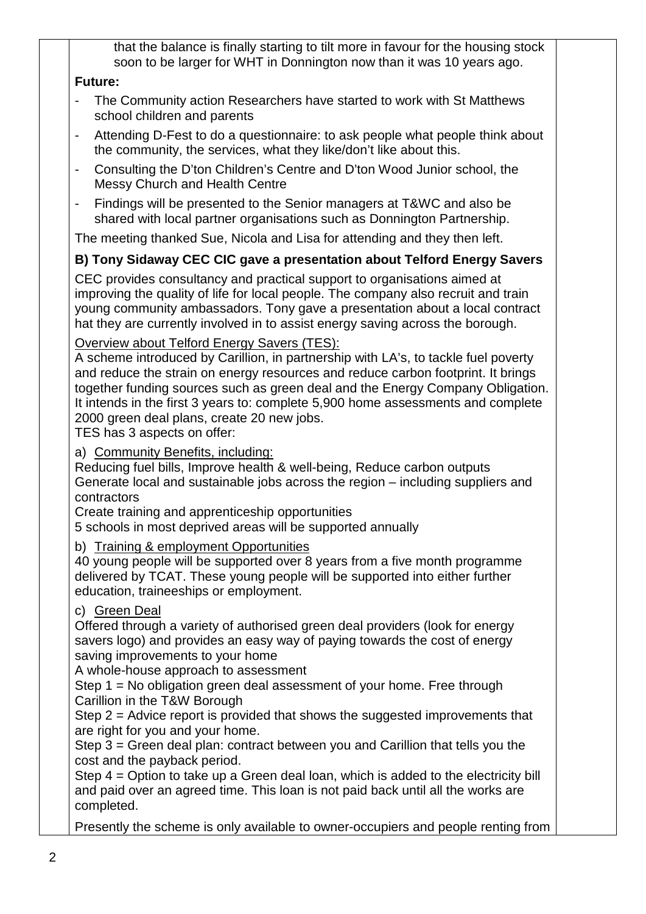that the balance is finally starting to tilt more in favour for the housing stock soon to be larger for WHT in Donnington now than it was 10 years ago.

### **Future:**

- The Community action Researchers have started to work with St Matthews school children and parents
- Attending D-Fest to do a questionnaire: to ask people what people think about the community, the services, what they like/don't like about this.
- Consulting the D'ton Children's Centre and D'ton Wood Junior school, the Messy Church and Health Centre
- Findings will be presented to the Senior managers at T&WC and also be shared with local partner organisations such as Donnington Partnership.

The meeting thanked Sue, Nicola and Lisa for attending and they then left.

# **B) Tony Sidaway CEC CIC gave a presentation about Telford Energy Savers**

CEC provides consultancy and practical support to organisations aimed at improving the quality of life for local people. The company also recruit and train young community ambassadors. Tony gave a presentation about a local contract hat they are currently involved in to assist energy saving across the borough.

### Overview about Telford Energy Savers (TES):

A scheme introduced by Carillion, in partnership with LA's, to tackle fuel poverty and reduce the strain on energy resources and reduce carbon footprint. It brings together funding sources such as green deal and the Energy Company Obligation. It intends in the first 3 years to: complete 5,900 home assessments and complete 2000 green deal plans, create 20 new jobs.

TES has 3 aspects on offer:

a) Community Benefits, including:

Reducing fuel bills, Improve health & well-being, Reduce carbon outputs Generate local and sustainable jobs across the region – including suppliers and contractors

Create training and apprenticeship opportunities

5 schools in most deprived areas will be supported annually

b) Training & employment Opportunities

40 young people will be supported over 8 years from a five month programme delivered by TCAT. These young people will be supported into either further education, traineeships or employment.

## c) Green Deal

Offered through a variety of authorised green deal providers (look for energy savers logo) and provides an easy way of paying towards the cost of energy saving improvements to your home

A whole-house approach to assessment

Step 1 = No obligation green deal assessment of your home. Free through Carillion in the T&W Borough

Step 2 = Advice report is provided that shows the suggested improvements that are right for you and your home.

Step 3 = Green deal plan: contract between you and Carillion that tells you the cost and the payback period.

Step 4 = Option to take up a Green deal loan, which is added to the electricity bill and paid over an agreed time. This loan is not paid back until all the works are completed.

Presently the scheme is only available to owner-occupiers and people renting from